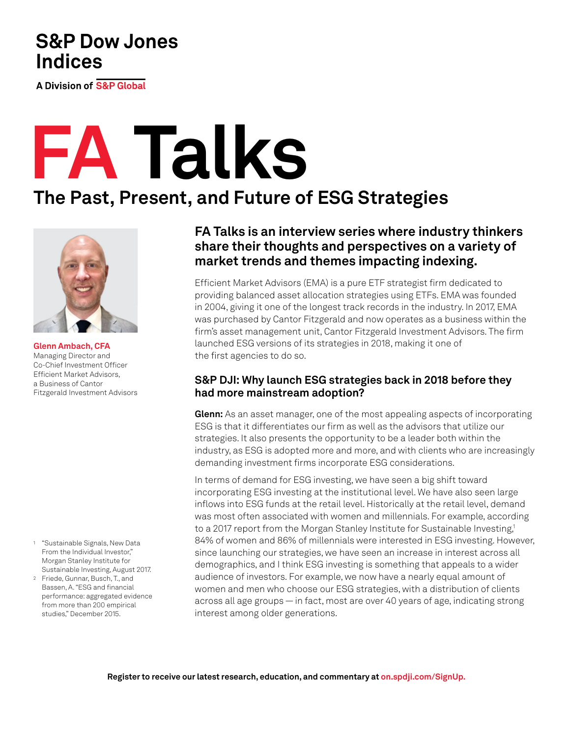## **S&P Dow Jones Indices**

**A Division of S&P Global** 

# **FA Talks**

## **The Past, Present, and Future of ESG Strategies**



**Glenn Ambach, CFA** Managing Director and Co-Chief Investment Officer Efficient Market Advisors, a Business of Cantor Fitzgerald Investment Advisors

- <sup>1</sup> "Sustainable Signals, New Data From the Individual Investor," Morgan Stanley Institute for Sustainable Investing, August 2017.
- <sup>2</sup> Friede, Gunnar, Busch, T., and Bassen, A. "ESG and financial performance: aggregated evidence from more than 200 empirical studies," December 2015.

### **FA Talks is an interview series where industry thinkers share their thoughts and perspectives on a variety of market trends and themes impacting indexing.**

Efficient Market Advisors (EMA) is a pure ETF strategist firm dedicated to providing balanced asset allocation strategies using ETFs. EMA was founded in 2004, giving it one of the longest track records in the industry. In 2017, EMA was purchased by Cantor Fitzgerald and now operates as a business within the firm's asset management unit, Cantor Fitzgerald Investment Advisors. The firm launched ESG versions of its strategies in 2018, making it one of the first agencies to do so.

#### **S&P DJI: Why launch ESG strategies back in 2018 before they had more mainstream adoption?**

**Glenn:** As an asset manager, one of the most appealing aspects of incorporating ESG is that it differentiates our firm as well as the advisors that utilize our strategies. It also presents the opportunity to be a leader both within the industry, as ESG is adopted more and more, and with clients who are increasingly demanding investment firms incorporate ESG considerations.

In terms of demand for ESG investing, we have seen a big shift toward incorporating ESG investing at the institutional level. We have also seen large inflows into ESG funds at the retail level. Historically at the retail level, demand was most often associated with women and millennials. For example, according to a 2017 report from the Morgan Stanley Institute for Sustainable Investing,<sup>1</sup> 84% of women and 86% of millennials were interested in ESG investing. However, since launching our strategies, we have seen an increase in interest across all demographics, and I think ESG investing is something that appeals to a wider audience of investors. For example, we now have a nearly equal amount of women and men who choose our ESG strategies, with a distribution of clients across all age groups — in fact, most are over 40 years of age, indicating strong interest among older generations.

**Register to receive our latest research, education, and commentary at on[.spdji.com/SignUp.](https://on.spdji.com/SignUp.html?src=DocFooters)**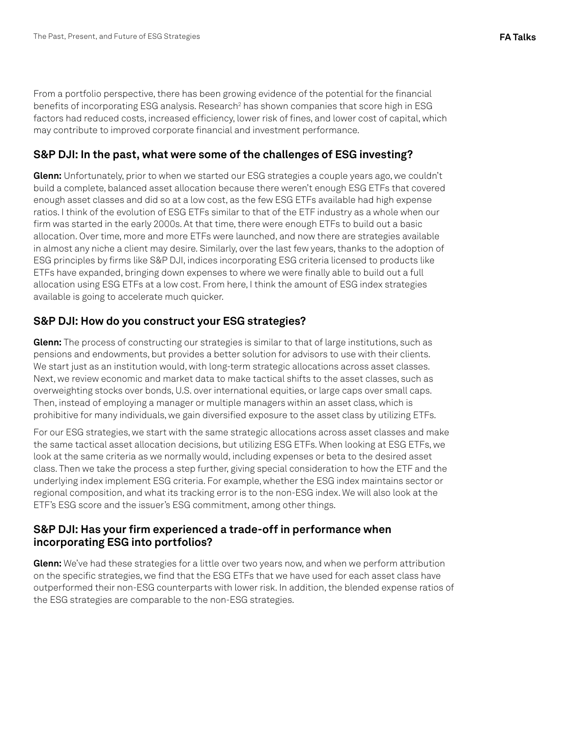From a portfolio perspective, there has been growing evidence of the potential for the financial benefits of incorporating ESG analysis. Research $^2$  has shown companies that score high in ESG factors had reduced costs, increased efficiency, lower risk of fines, and lower cost of capital, which may contribute to improved corporate financial and investment performance.

#### **S&P DJI: In the past, what were some of the challenges of ESG investing?**

**Glenn:** Unfortunately, prior to when we started our ESG strategies a couple years ago, we couldn't build a complete, balanced asset allocation because there weren't enough ESG ETFs that covered enough asset classes and did so at a low cost, as the few ESG ETFs available had high expense ratios. I think of the evolution of ESG ETFs similar to that of the ETF industry as a whole when our firm was started in the early 2000s. At that time, there were enough ETFs to build out a basic allocation. Over time, more and more ETFs were launched, and now there are strategies available in almost any niche a client may desire. Similarly, over the last few years, thanks to the adoption of ESG principles by firms like S&P DJI, indices incorporating ESG criteria licensed to products like ETFs have expanded, bringing down expenses to where we were finally able to build out a full allocation using ESG ETFs at a low cost. From here, I think the amount of ESG index strategies available is going to accelerate much quicker.

#### **S&P DJI: How do you construct your ESG strategies?**

**Glenn:** The process of constructing our strategies is similar to that of large institutions, such as pensions and endowments, but provides a better solution for advisors to use with their clients. We start just as an institution would, with long-term strategic allocations across asset classes. Next, we review economic and market data to make tactical shifts to the asset classes, such as overweighting stocks over bonds, U.S. over international equities, or large caps over small caps. Then, instead of employing a manager or multiple managers within an asset class, which is prohibitive for many individuals, we gain diversified exposure to the asset class by utilizing ETFs.

For our ESG strategies, we start with the same strategic allocations across asset classes and make the same tactical asset allocation decisions, but utilizing ESG ETFs. When looking at ESG ETFs, we look at the same criteria as we normally would, including expenses or beta to the desired asset class. Then we take the process a step further, giving special consideration to how the ETF and the underlying index implement ESG criteria. For example, whether the ESG index maintains sector or regional composition, and what its tracking error is to the non-ESG index. We will also look at the ETF's ESG score and the issuer's ESG commitment, among other things.

#### **S&P DJI: Has your firm experienced a trade-off in performance when incorporating ESG into portfolios?**

**Glenn:** We've had these strategies for a little over two years now, and when we perform attribution on the specific strategies, we find that the ESG ETFs that we have used for each asset class have outperformed their non-ESG counterparts with lower risk. In addition, the blended expense ratios of the ESG strategies are comparable to the non-ESG strategies.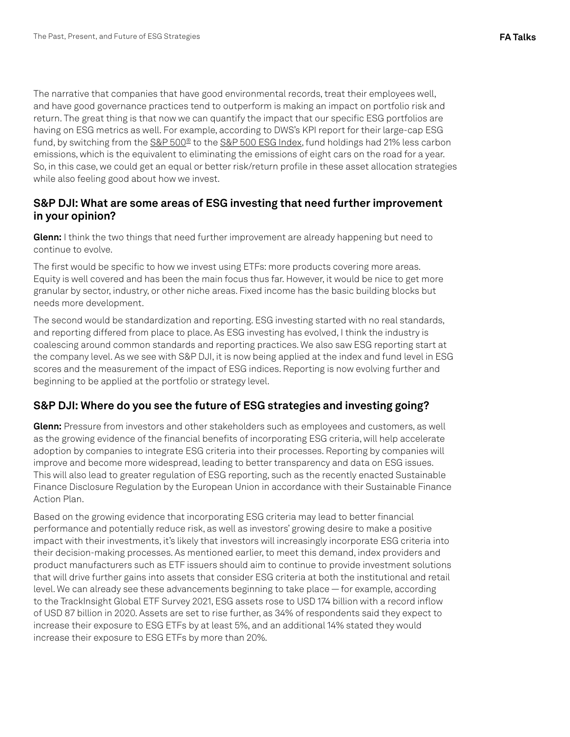The narrative that companies that have good environmental records, treat their employees well, and have good governance practices tend to outperform is making an impact on portfolio risk and return. The great thing is that now we can quantify the impact that our specific ESG portfolios are having on ESG metrics as well. For example, according to DWS's KPI report for their large-cap ESG fund, by switching from the [S&P 500®](https://www.spglobal.com/spdji/en/indices/equity/sp-500/?utm_source=pdf_education) to the [S&P 500 ESG Index](https://www.spglobal.com/spdji/en/indices/esg/sp-500-esg-index/?utm_source=pdf_education), fund holdings had 21% less carbon emissions, which is the equivalent to eliminating the emissions of eight cars on the road for a year. So, in this case, we could get an equal or better risk/return profile in these asset allocation strategies while also feeling good about how we invest.

#### **S&P DJI: What are some areas of ESG investing that need further improvement in your opinion?**

**Glenn:** I think the two things that need further improvement are already happening but need to continue to evolve.

The first would be specific to how we invest using ETFs: more products covering more areas. Equity is well covered and has been the main focus thus far. However, it would be nice to get more granular by sector, industry, or other niche areas. Fixed income has the basic building blocks but needs more development.

The second would be standardization and reporting. ESG investing started with no real standards, and reporting differed from place to place. As ESG investing has evolved, I think the industry is coalescing around common standards and reporting practices. We also saw ESG reporting start at the company level. As we see with S&P DJI, it is now being applied at the index and fund level in ESG scores and the measurement of the impact of ESG indices. Reporting is now evolving further and beginning to be applied at the portfolio or strategy level.

#### **S&P DJI: Where do you see the future of ESG strategies and investing going?**

**Glenn:** Pressure from investors and other stakeholders such as employees and customers, as well as the growing evidence of the financial benefits of incorporating ESG criteria, will help accelerate adoption by companies to integrate ESG criteria into their processes. Reporting by companies will improve and become more widespread, leading to better transparency and data on ESG issues. This will also lead to greater regulation of ESG reporting, such as the recently enacted Sustainable Finance Disclosure Regulation by the European Union in accordance with their Sustainable Finance Action Plan.

Based on the growing evidence that incorporating ESG criteria may lead to better financial performance and potentially reduce risk, as well as investors' growing desire to make a positive impact with their investments, it's likely that investors will increasingly incorporate ESG criteria into their decision-making processes. As mentioned earlier, to meet this demand, index providers and product manufacturers such as ETF issuers should aim to continue to provide investment solutions that will drive further gains into assets that consider ESG criteria at both the institutional and retail level. We can already see these advancements beginning to take place — for example, according to the TrackInsight Global ETF Survey 2021, ESG assets rose to USD 174 billion with a record inflow of USD 87 billion in 2020. Assets are set to rise further, as 34% of respondents said they expect to increase their exposure to ESG ETFs by at least 5%, and an additional 14% stated they would increase their exposure to ESG ETFs by more than 20%.